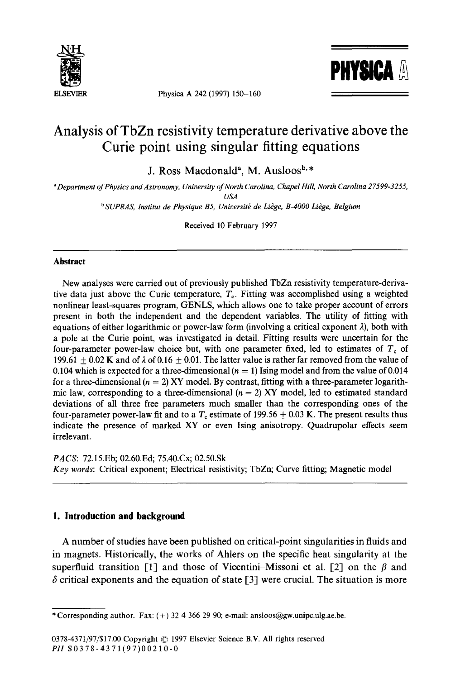

Physica A 242 (1997) 150-160



# **Analysis of TbZn resistivity temperature derivative above the Curie point using singular fitting equations**

**J. Ross Macdonald**<sup>a</sup>, M. Ausloos<sup>b,\*</sup>

*a Department of Physics and Astronomy, University of North Carolina, Chapel Hill, North Carolina 27599-3255, USA* 

<sup>b</sup> SUPRAS, Institut de Physique B5, Université de Liège, B-4000 Liège, Belgium

Received 10 February 1997

#### **Abstract**

New analyses were carried out of previously published TbZn resistivity temperature-derivative data just above the Curie temperature,  $T_c$ . Fitting was accomplished using a weighted nonlinear least-squares program, GENLS, which allows one to take proper account of errors present in both the independent and the dependent variables. The utility of fitting with equations of either logarithmic or power-law form (involving a critical exponent  $\lambda$ ), both with a pole at the Curie point, was investigated in detail. Fitting results were uncertain for the four-parameter power-law choice but, with one parameter fixed, led to estimates of  $T_c$  of 199.61  $+$  0.02 K and of  $\lambda$  of 0.16  $+$  0.01. The latter value is rather far removed from the value of 0.104 which is expected for a three-dimensional  $(n = 1)$  Ising model and from the value of 0.014 for a three-dimensional  $(n = 2)$  XY model. By contrast, fitting with a three-parameter logarithmic law, corresponding to a three-dimensional  $(n = 2)$  XY model, led to estimated standard deviations of all three free parameters much smaller than the corresponding ones of the four-parameter power-law fit and to a  $T_c$  estimate of 199.56  $\pm$  0.03 K. The present results thus indicate the presence of marked XY or even Ising anisotropy. Quadrupolar effects seem irrelevant.

*PACS:* 72.15.Eb; 02.60.Ed; 75.40.Cx; 02.50.Sk *Key words:* Critical exponent; Electrical resistivity; TbZn; Curve fitting; Magnetic model

# **1. Introduction and background**

A number of studies have been published on critical-point singularities in fluids and in magnets. Historically, the works of Ahlers on the specific heat singularity at the superfluid transition [1] and those of Vicentini–Missoni et al. [2] on the  $\beta$  and  $\delta$  critical exponents and the equation of state [3] were crucial. The situation is more

<sup>\*</sup> Corresponding author. Fax:  $(+)$  32 4 366 29 90; e-mail: ansloos@gw.unipc.ulg.ae.be.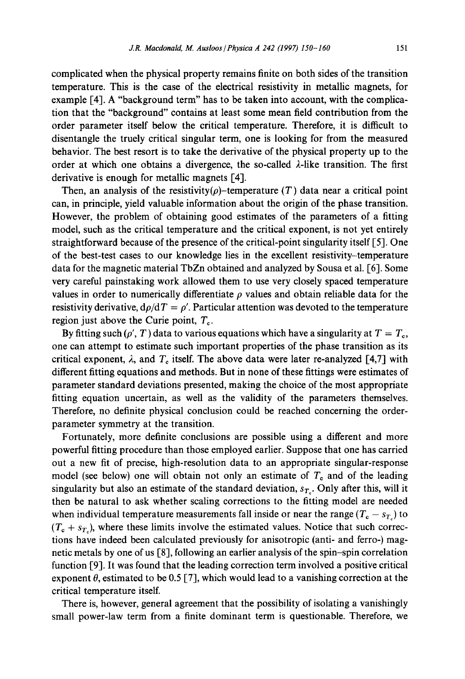complicated when the physical property remains finite on both sides of the transition temperature. This is the case of the electrical resistivity in metallic magnets, for example [4]. A "background term" has to be taken into account, with the complication that the "background" contains at least some mean field contribution from the order parameter itself below the critical temperature. Therefore, it is difficult to disentangle the truely critical singular term, one is looking for from the measured behavior. The best resort is to take the derivative of the physical property up to the order at which one obtains a divergence, the so-called  $\lambda$ -like transition. The first derivative is enough for metallic magnets [4].

Then, an analysis of the resistivity( $\rho$ )-temperature (T) data near a critical point can, in principle, yield valuable information about the origin of the phase transition. However, the problem of obtaining good estimates of the parameters of a fitting model, such as the critical temperature and the critical exponent, is not yet entirely straightforward because of the presence of the critical-point singularity itself [5]. One of the best-test cases to our knowledge lies in the excellent resistivity-temperature data for the magnetic material TbZn obtained and analyzed by Sousa et al. [6]. Some very careful painstaking work allowed them to use very closely spaced temperature values in order to numerically differentiate  $\rho$  values and obtain reliable data for the resistivity derivative,  $d\rho/dT = \rho'$ . Particular attention was devoted to the temperature region just above the Curie point,  $T_c$ .

By fitting such ( $\rho'$ , T) data to various equations which have a singularity at  $T = T<sub>o</sub>$ , one can attempt to estimate such important properties of the phase transition as its critical exponent,  $\lambda$ , and  $T_c$  itself. The above data were later re-analyzed [4,7] with different fitting equations and methods. But in none of these fittings were estimates of parameter standard deviations presented, making the choice of the most appropriate fitting equation uncertain, as well as the validity of the parameters themselves. Therefore, no definite physical conclusion could be reached concerning the orderparameter symmetry at the transition.

Fortunately, more definite conclusions are possible using a different and more powerful fitting procedure than those employed earlier. Suppose that one has carried out a new fit of precise, high-resolution data to an appropriate singular-response model (see below) one will obtain not only an estimate of  $T_c$  and of the leading singularity but also an estimate of the standard deviation,  $s_{T_c}$ . Only after this, will it then be natural to ask whether scaling corrections to the fitting model are needed when individual temperature measurements fall inside or near the range  $(T_c - s_T)$  to  $(T_c + s_{T_c})$ , where these limits involve the estimated values. Notice that such corrections have indeed been calculated previously for anisotropic (anti- and ferro-) magnetic metals by one of us [8], following an earlier analysis of the spin-spin correlation function [9]. It was found that the leading correction term involved a positive critical exponent  $\theta$ , estimated to be 0.5 [7], which would lead to a vanishing correction at the critical temperature itself.

There is, however, general agreement that the possibility of isolating a vanishingly small power-law term from a finite dominant term is questionable. Therefore, we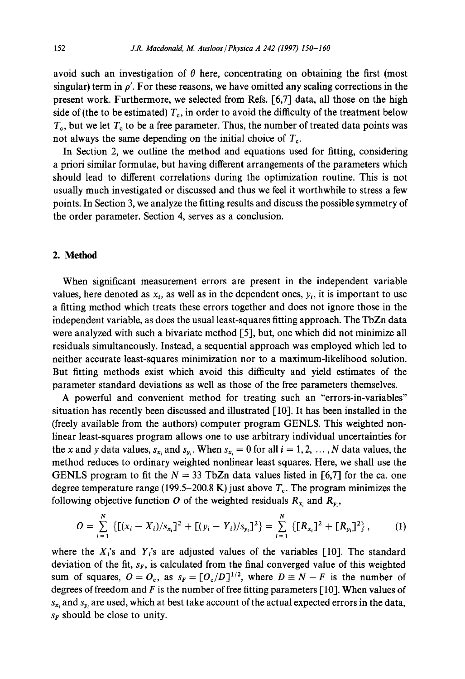avoid such an investigation of  $\theta$  here, concentrating on obtaining the first (most singular) term in  $\rho'$ . For these reasons, we have omitted any scaling corrections in the present work. Furthermore, we selected from Refs. [6,7] data, all those on the high side of (the to be estimated)  $T<sub>e</sub>$ , in order to avoid the difficulty of the treatment below  $T<sub>c</sub>$ , but we let  $T<sub>c</sub>$  to be a free parameter. Thus, the number of treated data points was not always the same depending on the initial choice of  $T_c$ .

In Section 2, we outline the method and equations used for fitting, considering a priori similar formulae, but having different arrangements of the parameters which should lead to different correlations during the optimization routine. This is not usually much investigated or discussed and thus we feel it worthwhile to stress a few points. In Section 3, we analyze the fitting results and discuss the possible symmetry of the order parameter. Section 4, serves as a conclusion.

# **2. Method**

When significant measurement errors are present in the independent variable values, here denoted as  $x_i$ , as well as in the dependent ones,  $y_i$ , it is important to use a fitting method which treats these errors together and does not ignore those in the independent variable, as does the usual least-squares fitting approach. The TbZn data were analyzed with such a bivariate method [5], but, one which did not minimize all residuals simultaneously. Instead, a sequential approach was employed which led to neither accurate least-squares minimization nor to a maximum-likelihood solution. But fitting methods exist which avoid this difficulty and yield estimates of the parameter standard deviations as well as those of the free parameters themselves.

A powerful and convenient method for treating such an "errors-in-variables" situation has recently been discussed and illustrated [10]. It has been installed in the (freely available from the authors) computer program GENLS. This weighted nonlinear least-squares program allows one to use arbitrary individual uncertainties for the x and y data values,  $s_{x_i}$  and  $s_{y_i}$ . When  $s_{x_i} = 0$  for all  $i = 1, 2, ..., N$  data values, the method reduces to ordinary weighted nonlinear least squares. Here, we shall use the GENLS program to fit the  $N = 33$  TbZn data values listed in [6,7] for the ca. one degree temperature range (199.5–200.8 K) just above  $T_c$ . The program minimizes the following objective function O of the weighted residuals  $R_{x_i}$  and  $R_{y_i}$ ,

$$
O = \sum_{i=1}^{N} \left\{ \left[ (x_i - X_i)/s_{x_i} \right]^2 + \left[ (y_i - Y_i)/s_{y_i} \right]^2 \right\} = \sum_{i=1}^{N} \left\{ \left[ R_{x_i} \right]^2 + \left[ R_{y_i} \right]^2 \right\}, \tag{1}
$$

where the  $X_i$ 's and  $Y_i$ 's are adjusted values of the variables [10]. The standard deviation of the fit,  $s_F$ , is calculated from the final converged value of this weighted sum of squares,  $O = O_c$ , as  $s_F = [O_c/D]^{1/2}$ , where  $D \equiv N - F$  is the number of degrees of freedom and  $F$  is the number of free fitting parameters [10]. When values of  $s_{x_i}$  and  $s_{y_i}$  are used, which at best take account of the actual expected errors in the data,  $s_F$  should be close to unity.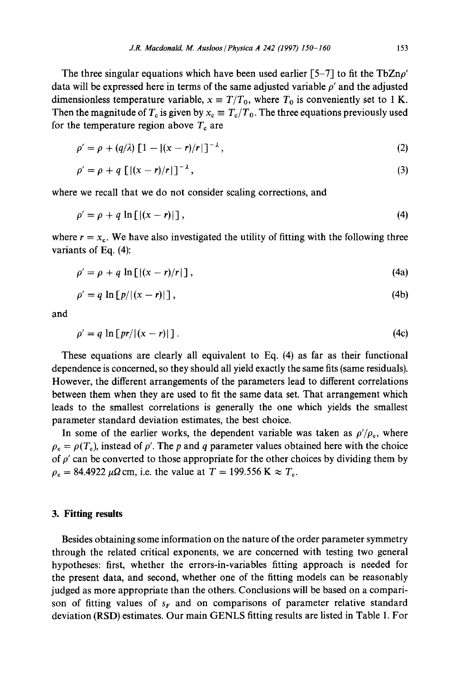The three singular equations which have been used earlier  $[5-7]$  to fit the TbZn $\rho'$ data will be expressed here in terms of the same adjusted variable  $\rho'$  and the adjusted dimensionless temperature variable,  $x \equiv T/T_0$ , where  $T_0$  is conveniently set to 1 K. Then the magnitude of  $T_c$  is given by  $x_c \equiv T_c/T_0$ . The three equations previously used for the temperature region above  $T_c$  are

$$
\rho' = \rho + (q/\lambda) \left[ 1 - |(x - r)/r| \right]^{-\lambda},\tag{2}
$$

$$
\rho' = \rho + q \left[ \left[ \frac{x - r}{r} \right] \right]^{-\lambda},\tag{3}
$$

where we recall that we do not consider scaling corrections, and

$$
\rho' = \rho + q \ln \left[ \left| (x - r) \right| \right],\tag{4}
$$

where  $r = x_c$ . We have also investigated the utility of fitting with the following three variants of Eq. (4):

$$
\rho' = \rho + q \ln \left[ \left| (x - r)/r \right| \right],\tag{4a}
$$

$$
\rho' = q \ln [p/|(x-r)|], \qquad (4b)
$$

and

$$
\rho' = q \ln \left[ \frac{pr}{(x - r)} \right]. \tag{4c}
$$

These equations are clearly all equivalent to Eq. (4) as far as their functional dependence is concerned, so they should all yield exactly the same fits (same residuals). However, the different arrangements of the parameters lead to different correlations between them when they are used to fit the same data set. That arrangement which leads to the smallest correlations is generally the one which yields the smallest parameter standard deviation estimates, the best choice.

In some of the earlier works, the dependent variable was taken as  $\rho' / \rho_c$ , where  $\rho_c = \rho(T_c)$ , instead of  $\rho'$ . The p and q parameter values obtained here with the choice of  $\rho'$  can be converted to those appropriate for the other choices by dividing them by  $\rho_c = 84.4922 \,\mu\Omega \text{cm}$ , i.e. the value at  $T = 199.556 \text{ K} \approx T_c$ .

## **3. Fitting results**

Besides obtaining some information on the nature of the order parameter symmetry through the related critical exponents, we are concerned with testing two general hypotheses: first, whether the errors-in-variables fitting approach is needed for the present data, and second, whether one of the fitting models can be reasonably judged as more appropriate than the others. Conclusions will be based on a comparison of fitting values of  $s_F$  and on comparisons of parameter relative standard deviation (RSD) estimates. Our main GENLS fitting results are listed in Table 1. For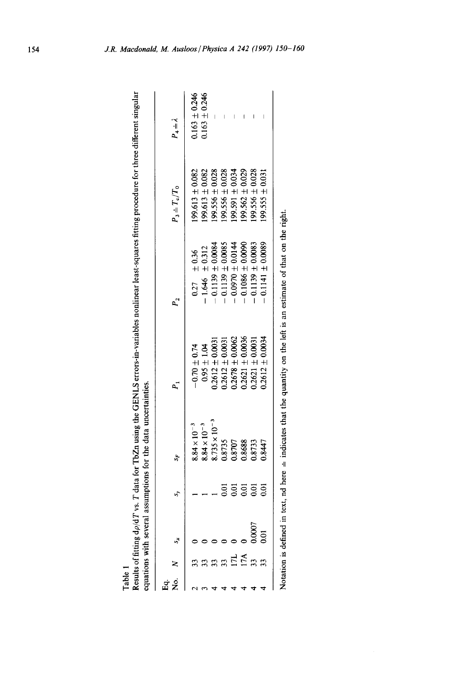| ី<br>ក្នុង |     |                | S,             | S.                                                                                                                        |                                                                                                                                                           |                                                                                                                                                                       | $P_3 = T_c/T_0$                                                                    | $P_4 = \lambda$                    |
|------------|-----|----------------|----------------|---------------------------------------------------------------------------------------------------------------------------|-----------------------------------------------------------------------------------------------------------------------------------------------------------|-----------------------------------------------------------------------------------------------------------------------------------------------------------------------|------------------------------------------------------------------------------------|------------------------------------|
|            |     |                |                | $8.84 \times 10^{-3}$                                                                                                     |                                                                                                                                                           |                                                                                                                                                                       | $99.613 \pm 0.082$                                                                 |                                    |
|            |     |                |                | $8.84 \times 10^{-3}$                                                                                                     | $-0.70 \pm 0.74$<br>0.95 $\pm$ 1.04                                                                                                                       |                                                                                                                                                                       |                                                                                    | $0.163 \pm 0.246$<br>0.163 ± 0.246 |
|            |     |                |                |                                                                                                                           |                                                                                                                                                           | $\begin{array}{rl} 0.27 & \pm 0.36 \\ - 1.646 & \pm 0.312 \\ - 0.1139 \pm 0.0084 \\ - 0.1139 \pm 0.0085 \\ - 0.1139 \pm 0.0085 \\ - 0.0970 \pm 0.0144 \\ \end{array}$ | $\begin{array}{c} 199.613\pm0.082\\ 199.556\pm0.028\\ 199.556\pm0.028 \end{array}$ |                                    |
|            |     |                | ğ              |                                                                                                                           | $\begin{array}{c} 0.2612 \pm 0.0031 \\ 0.2612 \pm 0.0031 \\ 0.2678 \pm 0.0062 \\ 0.2678 \pm 0.0062 \\ 0.2621 \pm 0.0036 \\ 0.2621 \pm 0.0031 \end{array}$ |                                                                                                                                                                       |                                                                                    |                                    |
|            | E   |                | 501            |                                                                                                                           |                                                                                                                                                           |                                                                                                                                                                       |                                                                                    |                                    |
|            | 17A |                | $\overline{0}$ |                                                                                                                           |                                                                                                                                                           |                                                                                                                                                                       | $199.591 \pm 0.034$<br>199.562 $\pm 0.029$                                         |                                    |
|            |     | 0000           | 50             | $\begin{array}{l} 8.735 \times 10^{-3} \\ 0.8735 \\ 0.8707 \\ 0.8707 \\ 0.8688 \\ 0.8733 \\ 0.8733 \\ 0.8447 \end{array}$ |                                                                                                                                                           | $0.1139 \pm 0.0083$                                                                                                                                                   | $99.556 \pm 0.028$                                                                 |                                    |
|            |     | $\overline{5}$ | 501            |                                                                                                                           | $0.2612 \pm 0.0034$                                                                                                                                       | $0.1141 \pm 0.0089$                                                                                                                                                   | $.99.555 \pm 0.031$                                                                |                                    |

Table 1<br>Results of fitting  $d\rho/dT$  vs. T data for TbZn using the GENLS errors-in-variables nonlinear least-squares fitting procedure for three different singular Results of fitting *dp/dT* vs. T data for TbZn using the GENLS errors-in-variables nonlinear least-squares fitting procedure for three different singular

Notation is defined in text, nd here  $\pm$  indicates that the quantity on the left is an estimate of that on the right. Notation is defined in text, nd here  $\pm$  indicates that the quantity on the left is an estimate of that on the right.

J.R. Macdonald, M. Ausloos / Physica A 242 (1997) 150-160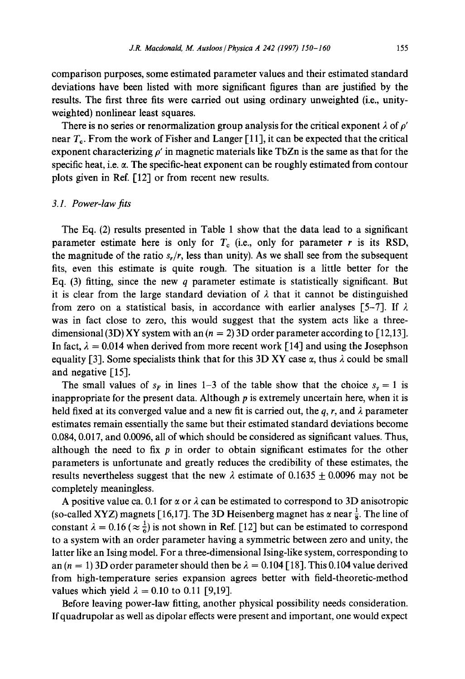comparison purposes, some estimated parameter values and their estimated standard deviations have been listed with more significant figures than are justified by the results. The first three fits were carried out using ordinary unweighted (i.e., unityweighted) nonlinear least squares.

There is no series or renormalization group analysis for the critical exponent  $\lambda$  of  $\rho'$ near  $T_c$ . From the work of Fisher and Langer [11], it can be expected that the critical exponent characterizing  $\rho'$  in magnetic materials like TbZn is the same as that for the specific heat, i.e.  $\alpha$ . The specific-heat exponent can be roughly estimated from contour plots given in Ref. [12] or from recent new results.

#### *3.1. Power-law fits*

The Eq. (2) results presented in Table 1 show that the data lead to a significant parameter estimate here is only for  $T_c$  (i.e., only for parameter r is its RSD, the magnitude of the ratio  $s_r/r$ , less than unity). As we shall see from the subsequent fits, even this estimate is quite rough. The situation is a little better for the Eq. (3) fitting, since the new q parameter estimate is statistically significant. But it is clear from the large standard deviation of  $\lambda$  that it cannot be distinguished from zero on a statistical basis, in accordance with earlier analyses [5-7]. If  $\lambda$ was in fact close to zero, this would suggest that the system acts like a threedimensional (3D) XY system with an  $(n = 2)$  3D order parameter according to [12,13]. In fact,  $\lambda = 0.014$  when derived from more recent work [14] and using the Josephson equality [3]. Some specialists think that for this 3D XY case  $\alpha$ , thus  $\lambda$  could be small and negative [15].

The small values of  $s_F$  in lines 1-3 of the table show that the choice  $s_y = 1$  is inappropriate for the present data. Although  $p$  is extremely uncertain here, when it is held fixed at its converged value and a new fit is carried out, the q, r, and  $\lambda$  parameter estimates remain essentially the same but their estimated standard deviations become 0.084, 0.017, and 0.0096, all of which should be considered as significant values. Thus, although the need to fix  $p$  in order to obtain significant estimates for the other parameters is unfortunate and greatly reduces the credibility of these estimates, the results nevertheless suggest that the new  $\lambda$  estimate of 0.1635  $\pm$  0.0096 may not be completely meaningless.

A positive value ca. 0.1 for  $\alpha$  or  $\lambda$  can be estimated to correspond to 3D anisotropic (so-called XYZ) magnets [16,17]. The 3D Heisenberg magnet has  $\alpha$  near  $\frac{1}{8}$ . The line of constant  $\lambda = 0.16$  ( $\approx \frac{1}{6}$ ) is not shown in Ref. [12] but can be estimated to correspond to a system with an order parameter having a symmetric between zero and unity, the latter like an Ising model. For a three-dimensional Ising-like system, corresponding to an  $(n = 1)$  3D order parameter should then be  $\lambda = 0.104$  [18]. This 0.104 value derived from high-temperature series expansion agrees better with field-theoretic-method values which yield  $\lambda = 0.10$  to 0.11 [9,19].

Before leaving power-law fitting, another physical possibility needs consideration. If quadrupolar as well as dipolar effects were present and important, one would expect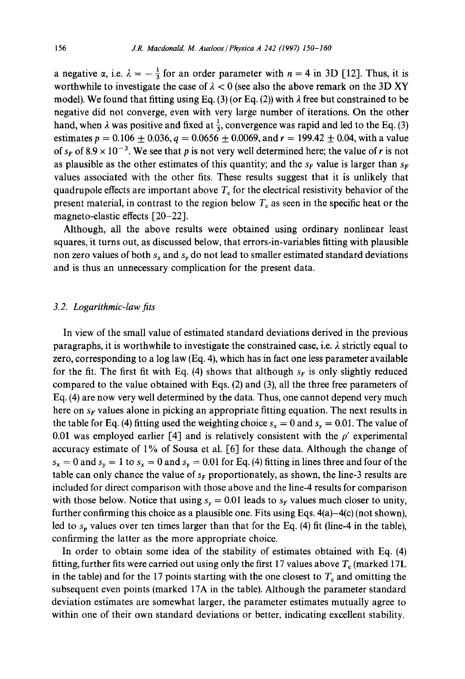a negative  $\alpha$ , i.e.  $\lambda = -\frac{1}{3}$  for an order parameter with  $n = 4$  in 3D [12]. Thus, it is worthwhile to investigate the case of  $\lambda < 0$  (see also the above remark on the 3D XY model). We found that fitting using Eq. (3) (or Eq. (2)) with  $\lambda$  free but constrained to be negative did not converge, even with very large number of iterations. On the other hand, when  $\lambda$  was positive and fixed at  $\frac{1}{3}$ , convergence was rapid and led to the Eq. (3) estimates  $p = 0.106 \pm 0.036$ ,  $q = 0.0656 \pm 0.0069$ , and  $r = 199.42 \pm 0.04$ , with a value of  $s_k$  of  $8.9 \times 10^{-3}$ . We see that p is not very well determined here; the value of r is not as plausible as the other estimates of this quantity; and the  $s_F$  value is larger than  $s_F$ values associated with the other fits. These results suggest that it is unlikely that quadrupole effects are important above  $T<sub>c</sub>$  for the electrical resistivity behavior of the present material, in contrast to the region below  $T<sub>c</sub>$  as seen in the specific heat or the magneto-elastic effects [20-22].

Although, all the above results were obtained using ordinary nonlinear least squares, it turns out, as discussed below, that errors-in-variables fitting with plausible non zero values of both  $s_x$  and  $s_y$  do not lead to smaller estimated standard deviations and is thus an unnecessary complication for the present data.

#### *3.2. Logarithmic-law fits*

In view of the small value of estimated standard deviations derived in the previous paragraphs, it is worthwhile to investigate the constrained case, i.e.  $\lambda$  strictly equal to zero, corresponding to a log law (Eq. 4), which has in fact one less parameter available for the fit. The first fit with Eq. (4) shows that although  $s_F$  is only slightly reduced compared to the value obtained with Eqs. (2) and (3), all the three free parameters of Eq. (4) are now very well determined by the data. Thus, one cannot depend very much here on  $s_F$  values alone in picking an appropriate fitting equation. The next results in the table for Eq. (4) fitting used the weighting choice  $s_x = 0$  and  $s_y = 0.01$ . The value of 0.01 was employed earlier [4] and is relatively consistent with the  $\rho'$  experimental accuracy estimate of 1% of Sousa et al. [6] for these data. Although the change of  $s_x = 0$  and  $s_y = 1$  to  $s_x = 0$  and  $s_y = 0.01$  for Eq. (4) fitting in lines three and four of the table can only chance the value of  $s_F$  proportionately, as shown, the line-3 results are included for direct comparison with those above and the line-4 results for comparison with those below. Notice that using  $s_y = 0.01$  leads to  $s<sub>F</sub>$  values much closer to unity, further confirming this choice as a plausible one. Fits using Eqs. 4(a)-4(c) (not shown), led to  $s_p$  values over ten times larger than that for the Eq. (4) fit (line-4 in the table), confirming the latter as the more appropriate choice.

In order to obtain some idea of the stability of estimates obtained with Eq. (4) fitting, further fits were carried out using only the first 17 values above  $T_c$  (marked 17L) in the table) and for the 17 points starting with the one closest to  $T_c$  and omitting the subsequent even points (marked 17A in the table). Although the parameter standard deviation estimates are somewhat larger, the parameter estimates mutually agree to within one of their own standard deviations or better, indicating excellent stability.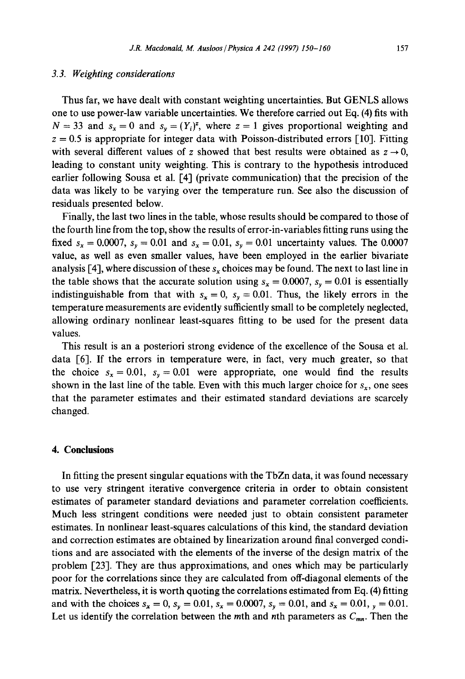## *3.3. Weighting considerations*

Thus far, we have dealt with constant weighting uncertainties. But GENLS allows one to use power-law variable uncertainties. We therefore carried out Eq. (4) fits with  $N = 33$  and  $s_x = 0$  and  $s_y = (Y_i)^z$ , where  $z = 1$  gives proportional weighting and  $z = 0.5$  is appropriate for integer data with Poisson-distributed errors [10]. Fitting with several different values of z showed that best results were obtained as  $z \rightarrow 0$ , leading to constant unity weighting. This is contrary to the hypothesis introduced earlier following Sousa et al. [4] (private communication) that the precision of the data was likely to be varying over the temperature run. See also the discussion of residuals presented below.

Finally, the last two lines in the table, whose results should be compared to those of the fourth line from the top, show the results of error-in-variables fitting runs using the fixed  $s_x = 0.0007$ ,  $s_y = 0.01$  and  $s_x = 0.01$ ,  $s_y = 0.01$  uncertainty values. The 0.0007 value, as well as even smaller values, have been employed in the earlier bivariate analysis [4], where discussion of these  $s_x$  choices may be found. The next to last line in the table shows that the accurate solution using  $s_x = 0.0007$ ,  $s_y = 0.01$  is essentially indistinguishable from that with  $s_x = 0$ ,  $s_y = 0.01$ . Thus, the likely errors in the temperature measurements are evidently sufficiently small to be completely neglected, allowing ordinary nonlinear least-squares fitting to be used for the present data values.

This result is an a posteriori strong evidence of the excellence of the Sousa et al. data [6]. If the errors in temperature were, in fact, very much greater, so that the choice  $s_x = 0.01$ ,  $s_y = 0.01$  were appropriate, one would find the results shown in the last line of the table. Even with this much larger choice for  $s_x$ , one sees that the parameter estimates and their estimated standard deviations are scarcely changed.

#### **4. Conclusions**

In fitting the present singular equations with the TbZn data, it was found necessary to use very stringent iterative convergence criteria in order to obtain consistent estimates of parameter standard deviations and parameter correlation coefficients. Much less stringent conditions were needed just to obtain consistent parameter estimates. In nonlinear least-squares calculations of this kind, the standard deviation and correction estimates are obtained by linearization around final converged conditions and are associated with the elements of the inverse of the design matrix of the problem [23]. They are thus approximations, and ones which may be particularly poor for the correlations since they are calculated from off-diagonal elements of the matrix. Nevertheless, it is worth quoting the correlations estimated from Eq. (4) fitting and with the choices  $s_x = 0$ ,  $s_y = 0.01$ ,  $s_x = 0.0007$ ,  $s_y = 0.01$ , and  $s_x = 0.01$ ,  $y = 0.01$ . Let us identify the correlation between the mth and nth parameters as  $C_{mn}$ . Then the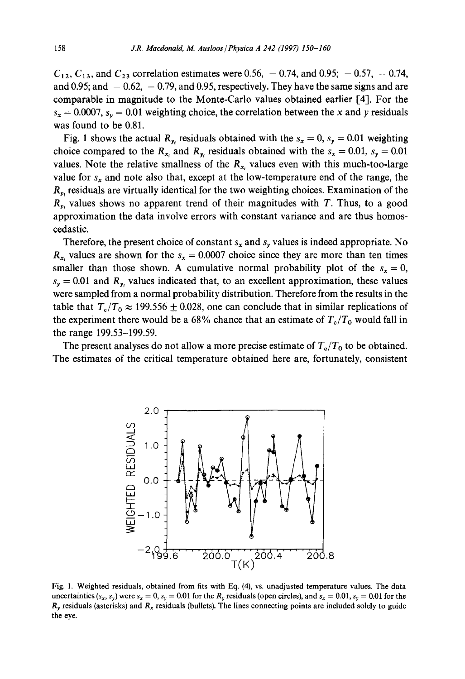$C_{12}$ ,  $C_{13}$ , and  $C_{23}$  correlation estimates were 0.56, -0.74, and 0.95; -0.57, -0.74, and 0.95; and  $-0.62$ ,  $-0.79$ , and 0.95, respectively. They have the same signs and are comparable in magnitude to the Monte-Carlo values obtained earlier [4]. For the  $s_x = 0.0007$ ,  $s_y = 0.01$  weighting choice, the correlation between the x and y residuals was found to be 0.81.

Fig. 1 shows the actual  $R_v$ , residuals obtained with the  $s_x = 0$ ,  $s_y = 0.01$  weighting choice compared to the  $R_{x_i}$  and  $R_{y_i}$  residuals obtained with the  $s_x = 0.01$ ,  $s_y = 0.01$ values. Note the relative smallness of the  $R_{x_i}$  values even with this much-too-large value for  $s_x$  and note also that, except at the low-temperature end of the range, the  $R<sub>v</sub>$ , residuals are virtually identical for the two weighting choices. Examination of the  $R_{v_i}$  values shows no apparent trend of their magnitudes with T. Thus, to a good approximation the data involve errors with constant variance and are thus homoscedastic.

Therefore, the present choice of constant  $s_x$  and  $s_y$  values is indeed appropriate. No  $R_{x_i}$  values are shown for the  $s_x = 0.0007$  choice since they are more than ten times smaller than those shown. A cumulative normal probability plot of the  $s_x = 0$ ,  $s<sub>y</sub> = 0.01$  and  $R<sub>y</sub>$ , values indicated that, to an excellent approximation, these values were sampled from a normal probability distribution. Therefore from the results in the table that  $T_c/T_0 \approx 199.556 \pm 0.028$ , one can conclude that in similar replications of the experiment there would be a 68% chance that an estimate of  $T_c/T_0$  would fall in the range 199.53-199.59.

The present analyses do not allow a more precise estimate of  $T_c/T_0$  to be obtained. The estimates of the critical temperature obtained here are, fortunately, consistent



Fig. 1. Weighted residuals, obtained from fits with Eq. (4), vs. unadjusted temperature values. The data uncertainties  $(s_x, s_y)$  were  $s_x = 0$ ,  $s_y = 0.01$  for the  $R_y$  residuals (open circles), and  $s_x = 0.01$ ,  $s_y = 0.01$  for the  $R<sub>y</sub>$  residuals (asterisks) and  $R<sub>x</sub>$  residuals (bullets). The lines connecting points are included solely to guide the eye.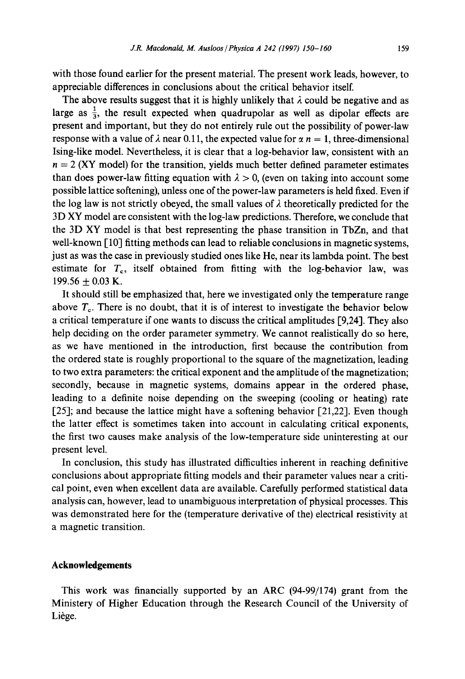with those found earlier for the present material. The present work leads, however, to appreciable differences in conclusions about the critical behavior itself.

The above results suggest that it is highly unlikely that  $\lambda$  could be negative and as large as  $\frac{1}{3}$ , the result expected when quadrupolar as well as dipolar effects are present and important, but they do not entirely rule out the possibility of power-law response with a value of  $\lambda$  near 0.11, the expected value for  $\alpha n = 1$ , three-dimensional Ising-like model. Nevertheless, it is clear that a log-behavior law, consistent with an  $n = 2$  (XY model) for the transition, yields much better defined parameter estimates than does power-law fitting equation with  $\lambda > 0$ , (even on taking into account some possible lattice softening), unless one of the power-law parameters is held fixed. Even if the log law is not strictly obeyed, the small values of  $\lambda$  theoretically predicted for the 3D XY model are consistent with the log-law predictions. Therefore, we conclude that the 3D XY model is that best representing the phase transition in TbZn, and that well-known [10] fitting methods can lead to reliable conclusions in magnetic systems, just as was the case in previously studied ones like He, near its lambda point. The best estimate for  $T_c$ , itself obtained from fitting with the log-behavior law, was 199.56  $\pm$  0.03 K.

It should still be emphasized that, here we investigated only the temperature range above  $T<sub>e</sub>$ . There is no doubt, that it is of interest to investigate the behavior below a critical temperature if one wants to discuss the critical amplitudes [9,24]. They also help deciding on the order parameter symmetry. We cannot realistically do so here, as we have mentioned in the introduction, first because the contribution from the ordered state is roughly proportional to the square of the magnetization, leading to two extra parameters: the critical exponent and the amplitude of the magnetization; secondly, because in magnetic systems, domains appear in the ordered phase, leading to a definite noise depending on the sweeping (cooling or heating) rate  $[25]$ ; and because the lattice might have a softening behavior  $[21,22]$ . Even though the latter effect is sometimes taken into account in calculating critical exponents, the first two causes make analysis of the low-temperature side uninteresting at our present level.

In conclusion, this study has illustrated difficulties inherent in reaching definitive conclusions about appropriate fitting models and their parameter values near a critical point, even when excellent data are available. Carefully performed statistical data analysis can, however, lead to unambiguous interpretation of physical processes. This was demonstrated here for the (temperature derivative of the) electrical resistivity at a magnetic transition.

## **Acknowledgements**

This work was financially supported by an ARC (94-99/174) grant from the Ministery of Higher Education through the Research Council of the University of Liège.